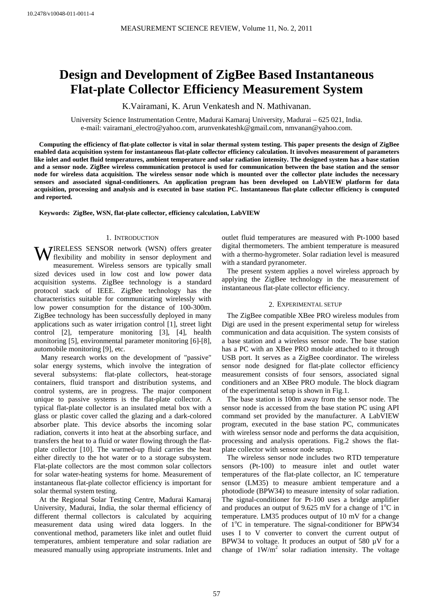# **Design and Development of ZigBee Based Instantaneous Flat-plate Collector Efficiency Measurement System**

K.Vairamani, K. Arun Venkatesh and N. Mathivanan.

University Science Instrumentation Centre, Madurai Kamaraj University, Madurai – 625 021, India. e-mail: [vairamani\\_electro@yahoo.com,](mailto:vairamani_electro@yahoo.com) arunvenkateshk@gmail.com, [nmvanan@yahoo.com.](mailto:nmvanan@yahoo.com)

**Computing the efficiency of flat-plate collector is vital in solar thermal system testing. This paper presents the design of ZigBee enabled data acquisition system for instantaneous flat-plate collector efficiency calculation. It involves measurement of parameters like inlet and outlet fluid temperatures, ambient temperature and solar radiation intensity. The designed system has a base station and a sensor node. ZigBee wireless communication protocol is used for communication between the base station and the sensor node for wireless data acquisition. The wireless sensor node which is mounted over the collector plate includes the necessary sensors and associated signal-conditioners. An application program has been developed on LabVIEW platform for data acquisition, processing and analysis and is executed in base station PC. Instantaneous flat-plate collector efficiency is computed and reported.** 

**Keywords: ZigBee, WSN, flat-plate collector, efficiency calculation, LabVIEW** 

## 1. INTRODUCTION

**WIRELESS SENSOR network (WSN) offers greater** and mobility in sensor deployment and fle xibility and mobility in sensor deployment and m easurement. Wireless sensors are typically small sized devices used in low cost and low power data acquisition systems. ZigBee technology is a standard protocol stack of IEEE. ZigBee technology has the characteristics suitable for communicating wirelessly with low power consumption for the distance of 100-300m. ZigBee technology has been successfully deployed in many applications such as water irrigation control [1], street light control [2], temperature monitoring [3], [4], health monitoring [5], environmental parameter monitoring [6]-[8], automobile monitoring [9], etc.

 Many research works on the development of "passive" solar energy systems, which involve the integration of several subsystems: flat-plate collectors, heat-storage containers, fluid transport and distribution systems, and control systems, are in progress. The major component unique to passive systems is the flat-plate collector. A typical flat-plate collector is an insulated metal box with a glass or plastic cover called the glazing and a dark-colored absorber plate. This device absorbs the incoming solar radiation, converts it into heat at the absorbing surface, and transfers the heat to a fluid or water flowing through the flatplate collector [10]. The warmed-up fluid carries the heat either directly to the hot water or to a storage subsystem. Flat-plate collectors are the most common solar collectors for solar water-heating systems for home. Measurement of instantaneous flat-plate collector efficiency is important for solar thermal system testing.

At the Regional Solar Testing Centre, Madurai Kamaraj University, Madurai, India, the solar thermal efficiency of different thermal collectors is calculated by acquiring measurement data using wired data loggers. In the conventional method, parameters like inlet and outlet fluid temperatures, ambient temperature and solar radiation are measured manually using appropriate instruments. Inlet and outlet fluid temperatures are measured with Pt-1000 based digital thermometers. The ambient temperature is measured with a thermo-hygrometer. Solar radiation level is measured with a standard pyranometer.

The present system applies a novel wireless approach by applying the ZigBee technology in the measurement of instantaneous flat-plate collector efficiency.

#### 2. EXPERIMENTAL SETUP

The ZigBee compatible XBee PRO wireless modules from Digi are used in the present experimental setup for wireless communication and data acquisition. The system consists of a base station and a wireless sensor node. The base station has a PC with an XBee PRO module attached to it through USB port. It serves as a ZigBee coordinator. The wireless sensor node designed for flat-plate collector efficiency measurement consists of four sensors, associated signal conditioners and an XBee PRO module. The block diagram of the experimental setup is shown in Fig.1.

The base station is 100m away from the sensor node. The sensor node is accessed from the base station PC using API command set provided by the manufacturer. A LabVIEW program, executed in the base station PC, communicates with wireless sensor node and performs the data acquisition, processing and analysis operations. Fig.2 shows the flatplate collector with sensor node setup.

The wireless sensor node includes two RTD temperature sensors (Pt-100) to measure inlet and outlet water temperatures of the flat-plate collector, an IC temperature sensor (LM35) to measure ambient temperature and a photodiode (BPW34) to measure intensity of solar radiation. The signal-conditioner for Pt-100 uses a bridge amplifier and produces an output of 9.625 mV for a change of  $1^{\circ}$ C in temperature. LM35 produces output of 10 mV for a change of 1<sup>o</sup>C in temperature. The signal-conditioner for BPW34 uses I to V converter to convert the current output of BPW34 to voltage. It produces an output of 580 µV for a change of  $1W/m^2$  solar radiation intensity. The voltage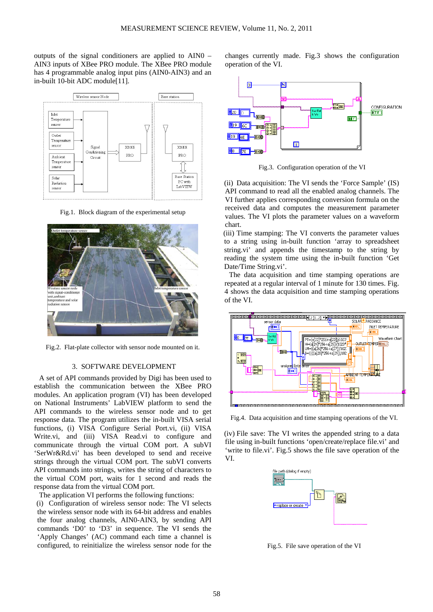outputs of the signal conditioners are applied to AIN0 – AIN3 inputs of XBee PRO module. The XBee PRO module has 4 programmable analog input pins (AIN0-AIN3) and an in-built 10-bit ADC module[11].



Fig.1. Block diagram of the experimental setup



Fig.2. Flat-plate collector with sensor node mounted on it.

#### 3. SOFTWARE DEVELOPMENT

A set of API commands provided by Digi has been used to establish the communication between the XBee PRO modules. An application program (VI) has been developed on National Instruments' LabVIEW platform to send the API commands to the wireless sensor node and to get response data. The program utilizes the in-built VISA serial functions, (i) VISA Configure Serial Port.vi, (ii) VISA Write.vi, and (iii) VISA Read.vi to configure and communicate through the virtual COM port. A subVI 'SerWr&Rd.vi' has been developed to send and receive strings through the virtual COM port. The subVI converts API commands into strings, writes the string of characters to the virtual COM port, waits for 1 second and reads the response data from the virtual COM port.

The application VI performs the following functions:

(i) Configuration of wireless sensor node: The VI selects the wireless sensor node with its 64-bit address and enables the four analog channels, AIN0-AIN3, by sending API commands 'D0' to 'D3' in sequence. The VI sends the 'Apply Changes' (AC) command each time a channel is configured, to reinitialize the wireless sensor node for the

changes currently made. Fig.3 shows the configuration operation of the VI.



Fig.3. Configuration operation of the VI

(ii) Data acquisition: The VI sends the 'Force Sample' (IS) API command to read all the enabled analog channels. The VI further applies corresponding conversion formula on the received data and computes the measurement parameter values. The VI plots the parameter values on a waveform chart.

(iii) Time stamping: The VI converts the parameter values to a string using in-built function 'array to spreadsheet string.vi' and appends the timestamp to the string by reading the system time using the in-built function 'Get Date/Time String.vi'.

The data acquisition and time stamping operations are repeated at a regular interval of 1 minute for 130 times. Fig. 4 shows the data acquisition and time stamping operations of the VI.



Fig.4. Data acquisition and time stamping operations of the VI.

(iv) File save: The VI writes the appended string to a data file using in-built functions 'open/create/replace file.vi' and 'write to file.vi'. Fig.5 shows the file save operation of the VI.



Fig.5. File save operation of the VI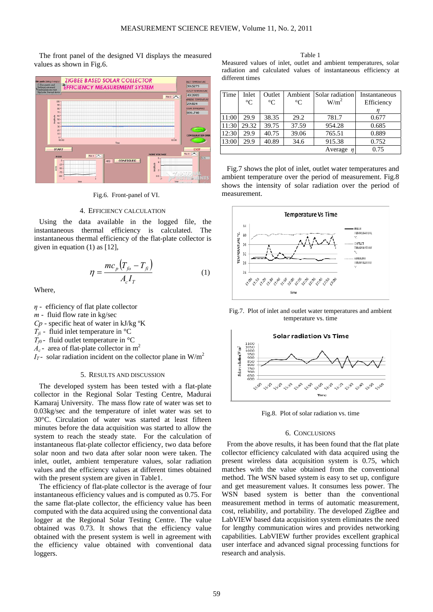The front panel of the designed VI displays the measured values as shown in Fig.6.



Fig.6. Front-panel of VI.

#### 4. EFFICIENCY CALCULATION

Using the data available in the logged file, the instantaneous thermal efficiency is calculated. The instantaneous thermal efficiency of the flat-plate collector is given in equation (1) as [12],

$$
\eta = \frac{mc_p \left(T_{f_o} - T_{f_i}\right)}{A_c I_T} \tag{1}
$$

Where,

- *η* efficiency of flat plate collector
- *m*  fluid flow rate in kg/sec
- *Cp*  specific heat of water in kJ/kg ºK

 $T_{\hat{n}}$  - fluid inlet temperature in  $^{\circ}$ C

 $T_{\text{m}}$ - fluid outlet temperature in  $^{\circ}$ C

 $A_c$ - area of flat-plate collector in m<sup>2</sup>

 $I_T$ - solar radiation incident on the collector plane in W/m<sup>2</sup>

#### 5. RESULTS AND DISCUSSION

The developed system has been tested with a flat-plate collector in the Regional Solar Testing Centre, Madurai Kamaraj University. The mass flow rate of water was set to 0.03kg/sec and the temperature of inlet water was set to 30°C. Circulation of water was started at least fifteen minutes before the data acquisition was started to allow the system to reach the steady state. For the calculation of instantaneous flat-plate collector efficiency, two data before solar noon and two data after solar noon were taken. The inlet, outlet, ambient temperature values, solar radiation values and the efficiency values at different times obtained with the present system are given in Table1.

The efficiency of flat-plate collector is the average of four instantaneous efficiency values and is computed as 0.75. For the same flat-plate collector, the efficiency value has been computed with the data acquired using the conventional data logger at the Regional Solar Testing Centre. The value obtained was 0.73. It shows that the efficiency value obtained with the present system is well in agreement with the efficiency value obtained with conventional data loggers.

Table 1 Measured values of inlet, outlet and ambient temperatures, solar radiation and calculated values of instantaneous efficiency at different times

| Time  | Inlet<br>$^{\circ}C$ | Outlet<br>$\rm ^{\circ}C$ | Ambient<br>$\rm ^{\circ}C$ | Solar radiation<br>W/m <sup>2</sup> | Instantaneous<br>Efficiency |
|-------|----------------------|---------------------------|----------------------------|-------------------------------------|-----------------------------|
|       |                      |                           |                            |                                     |                             |
| 11:00 | 29.9                 | 38.35                     | 29.2                       | 781.7                               | 0.677                       |
| 11:30 | 29.32                | 39.75                     | 37.59                      | 954.28                              | 0.685                       |
| 12:30 | 29.9                 | 40.75                     | 39.06                      | 765.51                              | 0.889                       |
| 13:00 | 29.9                 | 40.89                     | 34.6                       | 915.38                              | 0.752                       |
|       |                      |                           |                            | Average $\eta$                      | 0.75                        |

Fig.7 shows the plot of inlet, outlet water temperatures and ambient temperature over the period of measurement. Fig.8 shows the intensity of solar radiation over the period of measurement.



Fig.7. Plot of inlet and outlet water temperatures and ambient temperature vs. time



Fig.8. Plot of solar radiation vs. time

### 6. CONCLUSIONS

From the above results, it has been found that the flat plate collector efficiency calculated with data acquired using the present wireless data acquisition system is 0.75, which matches with the value obtained from the conventional method. The WSN based system is easy to set up, configure and get measurement values. It consumes less power. The WSN based system is better than the conventional measurement method in terms of automatic measurement, cost, reliability, and portability. The developed ZigBee and LabVIEW based data acquisition system eliminates the need for lengthy communication wires and provides networking capabilities. LabVIEW further provides excellent graphical user interface and advanced signal processing functions for research and analysis.